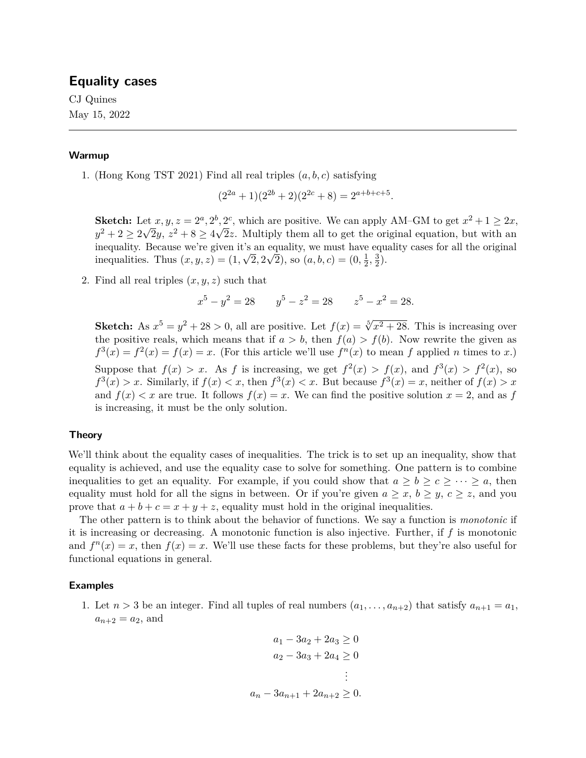# **Equality cases**

CJ Quines May 15, 2022

## **Warmup**

1. (Hong Kong TST 2021) Find all real triples  $(a, b, c)$  satisfying

$$
(2^{2a} + 1)(2^{2b} + 2)(2^{2c} + 8) = 2^{a+b+c+5}.
$$

**Sketch:** Let  $x, y, z = 2^a, 2^b, 2^c$ , which are positive. We can apply AM–GM to get  $x^2 + 1 \ge 2x$ ,  $y^2 + 2 \ge 2\sqrt{2}y$ ,  $z^2 + 8 \ge 4\sqrt{2}z$ . Multiply them all to get the original equation, but with an inequality. Because we're given it's an equality, we must have equality cases for all the original inequalities. Thus  $(x, y, z) = (1, \sqrt{2}, 2\sqrt{2})$ , so  $(a, b, c) = (0, \frac{1}{2}, \frac{3}{2})$  $\frac{3}{2}$ .

2. Find all real triples  $(x, y, z)$  such that

$$
x^5 - y^2 = 28 \qquad y^5 - z^2 = 28 \qquad z^5 - x^2 = 28.
$$

**Sketch:** As  $x^5 = y^2 + 28 > 0$ , all are positive. Let  $f(x) = \sqrt[5]{x^2 + 28}$ . This is increasing over the positive reals, which means that if  $a > b$ , then  $f(a) > f(b)$ . Now rewrite the given as  $f^{3}(x) = f^{2}(x) = f(x) = x$ . (For this article we'll use  $f^{n}(x)$  to mean f applied n times to x.) Suppose that  $f(x) > x$ . As f is increasing, we get  $f^2(x) > f(x)$ , and  $f^3(x) > f^2(x)$ , so  $f^{3}(x) > x$ . Similarly, if  $f(x) < x$ , then  $f^{3}(x) < x$ . But because  $f^{3}(x) = x$ , neither of  $f(x) > x$ and  $f(x) < x$  are true. It follows  $f(x) = x$ . We can find the positive solution  $x = 2$ , and as f is increasing, it must be the only solution.

## **Theory**

We'll think about the equality cases of inequalities. The trick is to set up an inequality, show that equality is achieved, and use the equality case to solve for something. One pattern is to combine inequalities to get an equality. For example, if you could show that  $a \geq b \geq c \geq \cdots \geq a$ , then equality must hold for all the signs in between. Or if you're given  $a \geq x, b \geq y, c \geq z$ , and you prove that  $a + b + c = x + y + z$ , equality must hold in the original inequalities.

The other pattern is to think about the behavior of functions. We say a function is *monotonic* if it is increasing or decreasing. A monotonic function is also injective. Further, if  $f$  is monotonic and  $f^{n}(x) = x$ , then  $f(x) = x$ . We'll use these facts for these problems, but they're also useful for functional equations in general.

## **Examples**

1. Let  $n > 3$  be an integer. Find all tuples of real numbers  $(a_1, \ldots, a_{n+2})$  that satisfy  $a_{n+1} = a_1$ ,  $a_{n+2} = a_2$ , and

$$
a_1 - 3a_2 + 2a_3 \ge 0
$$
  
\n
$$
a_2 - 3a_3 + 2a_4 \ge 0
$$
  
\n
$$
\vdots
$$
  
\n
$$
a_n - 3a_{n+1} + 2a_{n+2} \ge 0.
$$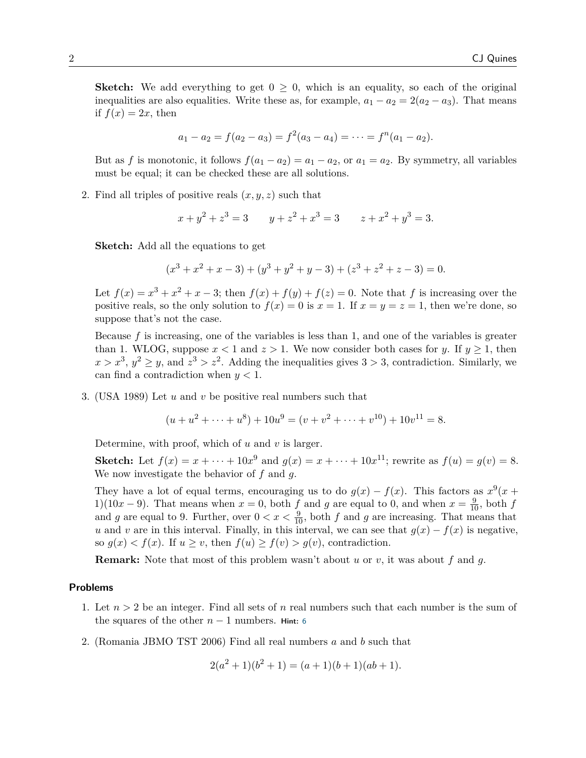**Sketch:** We add everything to get  $0 \geq 0$ , which is an equality, so each of the original inequalities are also equalities. Write these as, for example,  $a_1 - a_2 = 2(a_2 - a_3)$ . That means if  $f(x) = 2x$ , then

$$
a_1 - a_2 = f(a_2 - a_3) = f^2(a_3 - a_4) = \cdots = f^n(a_1 - a_2).
$$

But as f is monotonic, it follows  $f(a_1 - a_2) = a_1 - a_2$ , or  $a_1 = a_2$ . By symmetry, all variables must be equal; it can be checked these are all solutions.

2. Find all triples of positive reals  $(x, y, z)$  such that

$$
x + y2 + z3 = 3 \t y + z2 + x3 = 3 \t z + x2 + y3 = 3.
$$

**Sketch:** Add all the equations to get

$$
(x3 + x2 + x - 3) + (y3 + y2 + y - 3) + (z3 + z2 + z - 3) = 0.
$$

Let  $f(x) = x^3 + x^2 + x - 3$ ; then  $f(x) + f(y) + f(z) = 0$ . Note that f is increasing over the positive reals, so the only solution to  $f(x) = 0$  is  $x = 1$ . If  $x = y = z = 1$ , then we're done, so suppose that's not the case.

Because  $f$  is increasing, one of the variables is less than 1, and one of the variables is greater than 1. WLOG, suppose  $x < 1$  and  $z > 1$ . We now consider both cases for y. If  $y \ge 1$ , then  $x > x^3$ ,  $y^2 \ge y$ , and  $z^3 > z^2$ . Adding the inequalities gives  $3 > 3$ , contradiction. Similarly, we can find a contradiction when  $y < 1$ .

3. (USA 1989) Let  $u$  and  $v$  be positive real numbers such that

$$
(u + u2 + \dots + u8) + 10u9 = (v + v2 + \dots + v10) + 10v11 = 8.
$$

Determine, with proof, which of  $u$  and  $v$  is larger.

**Sketch:** Let  $f(x) = x + \cdots + 10x^9$  and  $g(x) = x + \cdots + 10x^{11}$ ; rewrite as  $f(u) = g(v) = 8$ . We now investigate the behavior of  $f$  and  $g$ .

They have a lot of equal terms, encouraging us to do  $g(x) - f(x)$ . This factors as  $x^9(x +$ 1)(10x – 9). That means when  $x = 0$ , both f and g are equal to 0, and when  $x = \frac{9}{10}$ , both f and g are equal to 9. Further, over  $0 < x < \frac{9}{10}$ , both f and g are increasing. That means that u and v are in this interval. Finally, in this interval, we can see that  $g(x) - f(x)$  is negative, so  $g(x) < f(x)$ . If  $u \ge v$ , then  $f(u) \ge f(v) > g(v)$ , contradiction.

**Remark:** Note that most of this problem wasn't about u or v, it was about f and q.

#### **Problems**

- 1. Let  $n > 2$  be an integer. Find all sets of n real numbers such that each number is the sum of the squares of the other  $n-1$  numbers. **Hint:** [6](#page-3-0)
- 2. (Romania JBMO TST 2006) Find all real numbers a and b such that

$$
2(a2 + 1)(b2 + 1) = (a + 1)(b + 1)(ab + 1).
$$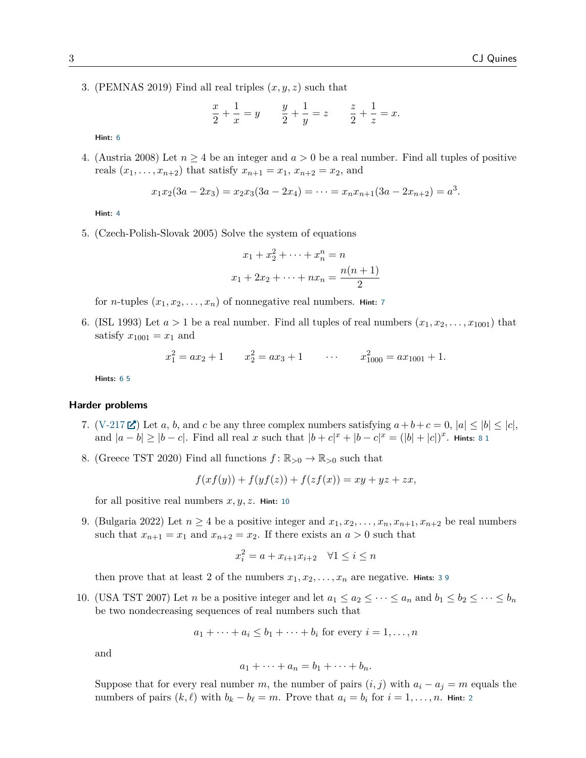3. (PEMNAS 2019) Find all real triples  $(x, y, z)$  such that

$$
\frac{x}{2} + \frac{1}{x} = y \qquad \frac{y}{2} + \frac{1}{y} = z \qquad \frac{z}{2} + \frac{1}{z} = x.
$$

**Hint:** [6](#page-3-0)

4. (Austria 2008) Let  $n \geq 4$  be an integer and  $a > 0$  be a real number. Find all tuples of positive reals  $(x_1, ..., x_{n+2})$  that satisfy  $x_{n+1} = x_1, x_{n+2} = x_2$ , and

$$
x_1x_2(3a-2x_3) = x_2x_3(3a-2x_4) = \cdots = x_nx_{n+1}(3a-2x_{n+2}) = a^3.
$$

**Hint:** [4](#page-3-1)

5. (Czech-Polish-Slovak 2005) Solve the system of equations

$$
x_1 + x_2^2 + \dots + x_n^n = n
$$
  

$$
x_1 + 2x_2 + \dots + nx_n = \frac{n(n+1)}{2}
$$

for *n*-tuples  $(x_1, x_2, \ldots, x_n)$  of nonnegative real numbers. Hint: [7](#page-3-2)

6. (ISL 1993) Let  $a > 1$  be a real number. Find all tuples of real numbers  $(x_1, x_2, \ldots, x_{1001})$  that satisfy  $x_{1001} = x_1$  and

$$
x_1^2 = ax_2 + 1
$$
  $x_2^2 = ax_3 + 1$   $\cdots$   $x_{1000}^2 = ax_{1001} + 1$ .

**Hints:** [6](#page-3-0) [5](#page-3-3)

# **Harder problems**

- 7. [\(V-217](https://artofproblemsolving.com/community/c6h2647374p22910593)  $\mathbb{Z}$ ) Let a, b, and c be any three complex numbers satisfying  $a+b+c=0$ ,  $|a| \leq |b| \leq |c|$ , and  $|a - b| \ge |b - c|$ . Find all real x such that  $|b + c|^x + |b - c|^x = (|b| + |c|)^x$ . Hints: [8](#page-3-4) [1](#page-3-5)
- 8. (Greece TST 2020) Find all functions  $f: \mathbb{R}_{>0} \to \mathbb{R}_{>0}$  such that

$$
f(xf(y)) + f(yf(z)) + f(zf(x)) = xy + yz + zx,
$$

for all positive real numbers  $x, y, z$ . **Hint:** [10](#page-3-6)

9. (Bulgaria 2022) Let  $n \geq 4$  be a positive integer and  $x_1, x_2, \ldots, x_n, x_{n+1}, x_{n+2}$  be real numbers such that  $x_{n+1} = x_1$  and  $x_{n+2} = x_2$ . If there exists an  $a > 0$  such that

$$
x_i^2 = a + x_{i+1}x_{i+2} \quad \forall 1 \le i \le n
$$

then prove that at least 2 of the numbers  $x_1, x_2, \ldots, x_n$  are negative. **Hints:** [3](#page-3-7) [9](#page-3-8)

10. (USA TST 2007) Let *n* be a positive integer and let  $a_1 \le a_2 \le \cdots \le a_n$  and  $b_1 \le b_2 \le \cdots \le b_n$ be two nondecreasing sequences of real numbers such that

$$
a_1 + \cdots + a_i \le b_1 + \cdots + b_i
$$
 for every  $i = 1, \ldots, n$ 

and

$$
a_1 + \cdots + a_n = b_1 + \cdots + b_n.
$$

Suppose that for every real number m, the number of pairs  $(i, j)$  with  $a_i - a_j = m$  equals the numbers of pairs  $(k, \ell)$  with  $b_k - b_\ell = m$ . Prove that  $a_i = b_i$  for  $i = 1, \ldots, n$ . **Hint:** [2](#page-3-9)